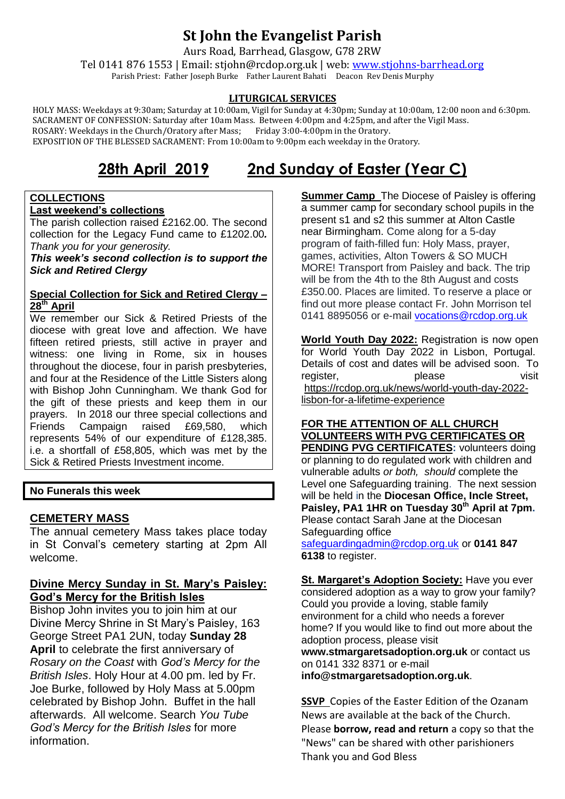# **St John the Evangelist Parish**

Aurs Road, Barrhead, Glasgow, G78 2RW

Tel 0141 876 1553 | Email: stjohn@rcdop.org.uk | web: [www.stjohns-barrhead.org](http://www.stjohns-barrhead.org/) Parish Priest: Father Joseph Burke Father Laurent Bahati Deacon Rev Denis Murphy

#### **LITURGICAL SERVICES**

 HOLY MASS: Weekdays at 9:30am; Saturday at 10:00am, Vigil for Sunday at 4:30pm; Sunday at 10:00am, 12:00 noon and 6:30pm. SACRAMENT OF CONFESSION: Saturday after 10am Mass. Between 4:00pm and 4:25pm, and after the Vigil Mass.<br>ROSARY: Weekdays in the Church/Oratory after Mass; Friday 3:00-4:00pm in the Oratory. ROSARY: Weekdays in the Church/Oratory after Mass; EXPOSITION OF THE BLESSED SACRAMENT: From 10:00am to 9:00pm each weekday in the Oratory.

# **28th April 2019 2nd Sunday of Easter (Year C)**

#### **COLLECTIONS Last weekend's collections**

The parish collection raised £2162.00. The second collection for the Legacy Fund came to £1202.00*. Thank you for your generosity.*

*This week's second collection is to support the Sick and Retired Clergy*

#### **Special Collection for Sick and Retired Clergy – 28th April**

We remember our Sick & Retired Priests of the diocese with great love and affection. We have fifteen retired priests, still active in prayer and witness: one living in Rome, six in houses throughout the diocese, four in parish presbyteries, and four at the Residence of the Little Sisters along with Bishop John Cunningham. We thank God for the gift of these priests and keep them in our prayers. In 2018 our three special collections and Friends Campaign raised £69,580, which represents 54% of our expenditure of £128,385. i.e. a shortfall of £58,805, which was met by the Sick & Retired Priests Investment income.

#### **No Funerals this week**

#### **CEMETERY MASS**

The annual cemetery Mass takes place today in St Conval's cemetery starting at 2pm All welcome.

# **Divine Mercy Sunday in St. Mary's Paisley: God's Mercy for the British Isles**

Bishop John invites you to join him at our Divine Mercy Shrine in St Mary's Paisley, 163 George Street PA1 2UN, today **Sunday 28 April** to celebrate the first anniversary of *Rosary on the Coast* with *God's Mercy for the British Isles*. Holy Hour at 4.00 pm. led by Fr. Joe Burke, followed by Holy Mass at 5.00pm celebrated by Bishop John. Buffet in the hall afterwards. All welcome. Search *You Tube God's Mercy for the British Isles* for more information.

**Summer Camp** The Diocese of Paisley is offering a summer camp for secondary school pupils in the present s1 and s2 this summer at Alton Castle near Birmingham. Come along for a 5-day program of faith-filled fun: Holy Mass, prayer, games, activities, Alton Towers & SO MUCH MORE! Transport from Paisley and back. The trip will be from the 4th to the 8th August and costs £350.00. Places are limited. To reserve a place or find out more please contact Fr. John Morrison tel 0141 8895056 or e-mail [vocations@rcdop.org.uk](mailto:vocations@rcdop.org.uk)

**World Youth Day 2022:** Registration is now open for World Youth Day 2022 in Lisbon, Portugal. Details of cost and dates will be advised soon. To register, please visit [https://rcdop.org.uk/news/world-youth-day-2022](https://rcdop.org.uk/news/world-youth-day-2022-lisbon-for-a-lifetime-experience) [lisbon-for-a-lifetime-experience](https://rcdop.org.uk/news/world-youth-day-2022-lisbon-for-a-lifetime-experience)

#### **FOR THE ATTENTION OF ALL CHURCH VOLUNTEERS WITH PVG CERTIFICATES OR PENDING PVG CERTIFICATES:** volunteers doing or planning to do regulated work with children and

vulnerable adults *or both, should* complete the Level one Safeguarding training. The next session will be held in the **Diocesan Office, Incle Street, Paisley, PA1 1HR on Tuesday 30th April at 7pm.** Please contact Sarah Jane at the Diocesan Safeguarding office

[safeguardingadmin@rcdop.org.uk](mailto:safeguardingadmin@rcdop.org.uk) or **0141 847 6138** to register.

**St. Margaret's Adoption Society:** Have you ever considered adoption as a way to grow your family? Could you provide a loving, stable family environment for a child who needs a forever home? If you would like to find out more about the adoption process, please visit **[www.stmargaretsadoption.org.uk](http://www.stmargaretsadoption.org.uk/)** or contact us

on 0141 332 8371 or e-mail

**[info@stmargaretsadoption.org.uk](mailto:INFO@STMARGARETSADOPTION.ORG.UK)**.

**SSVP** Copies of the Easter Edition of the Ozanam News are available at the back of the Church. Please **borrow, read and return** a copy so that the "News" can be shared with other parishioners Thank you and God Bless